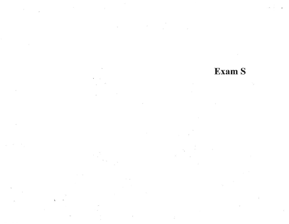# Exam S

and the state of the

 $\overline{\mathcal{M}}$ 

 $\gamma_i$ 

 $\langle \cdot | \cdot \rangle$ 

 $\sim 10^7$ 

- 80

 $\mathbf{S} = \mathbf{S} \times \mathbf{S} \times \mathbf{S} \times \mathbf{S} \times \mathbf{S} \times \mathbf{S} \times \mathbf{S} \times \mathbf{S} \times \mathbf{S} \times \mathbf{S} \times \mathbf{S} \times \mathbf{S} \times \mathbf{S} \times \mathbf{S} \times \mathbf{S} \times \mathbf{S} \times \mathbf{S} \times \mathbf{S} \times \mathbf{S} \times \mathbf{S} \times \mathbf{S} \times \mathbf{S} \times \mathbf{S} \times \mathbf{S} \times \mathbf{S} \times \mathbf{S} \times \mathbf{S$ 

 $\mathbf{V}$ 

 $\sim$   $-$ 

 $\mathcal{A} = \{ \mathcal{A} \}$ 

 $\overline{\alpha}$  (

 $\widetilde{\mathcal{A}}_{\mathcal{I}}^{\mathcal{I}}$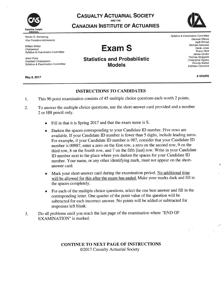

Steven D. Armstrong Vice President-Admissions

William Wilder Chairperson **Syllabus & Examination Committee** 

Jason Buss Assistant Chairperson Syllabus & Examination Committee

May 8, 2017

# **CASUALTY ACTUARIAL SOCIETY CANADIAN INSTITUTE OF ACTUARIES**



**Exam S** 

# **Statistics and Probabilistic Models**

Syllabus & Examination Committee General Officers Aadil Ahmad Michelle larkowski Derek Jones Sharon Mott James Sandor Thomas Struppeck Christopher Stvrsky Rhonda Walker Kathleen Odomirok

4 HOURS

#### **INSTRUCTIONS TO CANDIDATES**

- This 90 point examination consists of 45 multiple choice questions each worth 2 points.  $1.$
- To answer the multiple choice questions, use the short-answer card provided and a number  $2.$ 2 or HB pencil only.
	- Fill in that it is Spring 2017 and that the exam name is S.
	- Darken the spaces corresponding to your Candidate ID number. Five rows are available. If your Candidate ID number is fewer than 5 digits, include leading zeros. For example, if your Candidate ID number is 987, consider that your Candidate ID number is 00987, enter a zero on the first row, a zero on the second row, 9 on the third row, 8 on the fourth row, and 7 on the fifth [last] row. Write in your Candidate ID number next to the place where you darken the spaces for your Candidate ID number. Your name, or any other identifying mark, must not appear on the shortanswer card.
	- Mark your short-answer card during the examination period. No additional time will be allowed for this after the exam has ended. Make your marks dark and fill in the spaces completely.
	- For each of the multiple choice questions, select the one best answer and fill in the corresponding letter. One quarter of the point value of the question will be subtracted for each incorrect answer. No points will be added or subtracted for responses left blank.
- Do all problems until you reach the last page of the examination where "END OF 3. EXAMINATION" is marked.

#### **CONTINUE TO NEXT PAGE OF INSTRUCTIONS** ©2017 Casualty Actuarial Society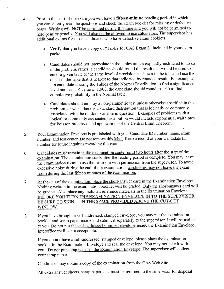- Prior to the start of the exam you will have a fifteen-minute reading period in which  $\overline{4}$ . you can silently read the questions and check the exam booklet for missing or defective pages. Writing will NOT be permitted during this time and you will not be permitted to hold pens or pencils. You will also not be allowed to use calculators. The supervisor has additional exams for those candidates who have defective exam booklets.
	- Verify that you have a copy of "Tables for CAS Exam S" included in your exam ۰ packet.
	- Candidates should not interpolate in the tables unless explicitly instructed to do so in the problem, rather, a candidate should round the result that would be used to enter a given table to the same level of precision as shown in the table and use the result in the table that is nearest to that indicated by rounded result. For example, if a candidate is using the Tables of the Normal Distribution to find a significance level and has a Z value of 1.903, the candidate should round to 1.90 to find cumulative probability in the Normal table.
	- Candidates should employ a non-parametric test unless otherwise specified in the problem, or when there is a standard distribution that is logically or commonly associated with the random variable in question. Examples of problems with a logical or commonly associated distribution would include exponential wait times for Poisson processes and applications of the Central Limit Theorem.
- Your Examination Envelope is pre-labeled with your Candidate ID number, name, exam  $5.$ number, and test center. Do not remove this label. Keep a record of your Candidate ID number for future inquiries regarding this exam.
- Candidates must remain in the examination center until two hours after the start of the 6. examination. The examination starts after the reading period is complete. You may leave the examination room to use the restroom with permission from the supervisor. To avoid excessive noise during the end of the examination, candidates may not leave the exam room during the last fifteen minutes of the examination.
- At the end of the examination, place the short-answer card in the Examination Envelope.  $7.$ Nothing written in the examination booklet will be graded. Only the short-answer card will be graded. Also place any included reference materials in the Examination Envelope. BEFORE YOU TURN THE EXAMINATION ENVELOPE IN TO THE SUPERVISOR, BE SURE TO SIGN IT IN THE SPACE PROVIDED ABOVE THE CUT-OUT WINDOW.
- If you have brought a self-addressed, stamped envelope, you may put the examination 8. booklet and scrap paper inside and submit it separately to the supervisor. It will be mailed to you. Do not put the self-addressed stamped envelope inside the Examination Envelope. Interoffice mail is not acceptable.

If you do not have a self-addressed, stamped envelope, please place the examination booklet in the Examination Envelope and seal the envelope. You may not take it with you. Do not put scrap paper in the Examination Envelope. The supervisor will collect your scrap paper.

Candidates may obtain a copy of the examination from the CAS Web Site.

All extra answer sheets, scrap paper, etc. must be returned to the supervisor for disposal.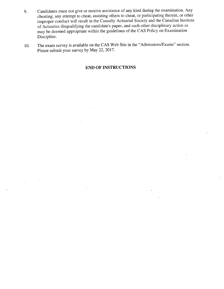- Candidates must not give or receive assistance of any kind during the examination. Any  $9.5$ cheating, any attempt to cheat, assisting others to cheat, or participating therein, or other improper conduct will result in the Casualty Actuarial Society and the Canadian Institute of Actuaries disqualifying the candidate's paper, and such other disciplinary action as may be deemed appropriate within the guidelines of the CAS Policy on Examination Discipline.
- The exam survey is available on the CAS Web Site in the "Admissions/Exams" section. 10. Please submit your survey by May 22, 2017.

#### **END OF INSTRUCTIONS**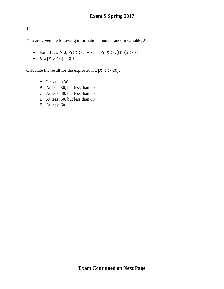You are given the following information about a random variable,  $X$ .

- For all  $r, s \ge 0$ ,  $Pr(X > r + s) = Pr(X > r) Pr(X > s)$
- $E[X|X > 10] = 30$

Calculate the result for the expression:  $E[X|X > 20]$ .

- A. Less than 30
- B. At least 30, but less than 40
- C. At least 40, but less than 50
- D. At least 50, but less than 60
- E. At least 60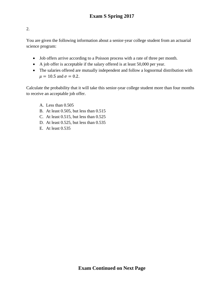You are given the following information about a senior-year college student from an actuarial science program:

- Job offers arrive according to a Poisson process with a rate of three per month.
- A job offer is acceptable if the salary offered is at least 50,000 per year.
- The salaries offered are mutually independent and follow a lognormal distribution with  $\mu = 10.5$  and  $\sigma = 0.2$ .

Calculate the probability that it will take this senior-year college student more than four months to receive an acceptable job offer.

- A. Less than 0.505
- B. At least 0.505, but less than 0.515
- C. At least 0.515, but less than 0.525
- D. At least 0.525, but less than 0.535
- E. At least 0.535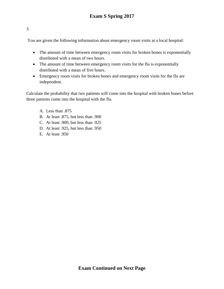You are given the following information about emergency room visits at a local hospital:

- The amount of time between emergency room visits for broken bones is exponentially distributed with a mean of two hours.
- The amount of time between emergency room visits for the flu is exponentially distributed with a mean of five hours.
- Emergency room visits for broken bones and emergency room visits for the flu are independent.

Calculate the probability that two patients will come into the hospital with broken bones before three patients come into the hospital with the flu.

- A. Less than .875
- B. At least .875, but less than .900
- C. At least .900, but less than .925
- D. At least .925, but less than .950
- E. At least .950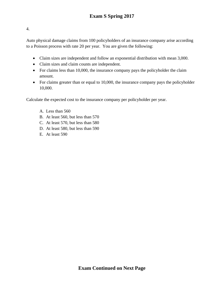Auto physical damage claims from 100 policyholders of an insurance company arise according to a Poisson process with rate 20 per year. You are given the following:

- Claim sizes are independent and follow an exponential distribution with mean 3,000.
- Claim sizes and claim counts are independent.
- For claims less than 10,000, the insurance company pays the policyholder the claim amount.
- For claims greater than or equal to 10,000, the insurance company pays the policyholder 10,000.

Calculate the expected cost to the insurance company per policyholder per year.

- A. Less than 560
- B. At least 560, but less than 570
- C. At least 570, but less than 580
- D. At least 580, but less than 590
- E. At least 590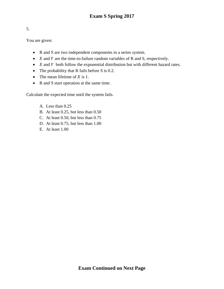You are given:

- R and S are two independent components in a series system.
- $X$  and  $Y$  are the time-to-failure random variables of R and S, respectively.
- $X$  and  $Y$  both follow the exponential distribution but with different hazard rates.
- The probability that R fails before S is 0.2.
- The mean lifetime of  $X$  is 1.
- R and S start operation at the same time.

Calculate the expected time until the system fails.

- A. Less than 0.25
- B. At least 0.25, but less than 0.50
- C. At least 0.50, but less than 0.75
- D. At least 0.75, but less than 1.00
- E. At least 1.00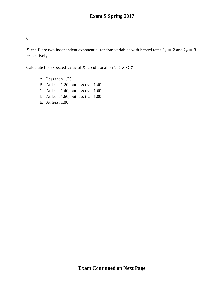X and Y are two independent exponential random variables with hazard rates  $\lambda_X = 2$  and  $\lambda_Y = 8$ , respectively.

Calculate the expected value of X, conditional on  $1 < X < Y$ .

- A. Less than 1.20
- B. At least 1.20, but less than 1.40
- C. At least 1.40, but less than 1.60
- D. At least 1.60, but less than 1.80
- E. At least 1.80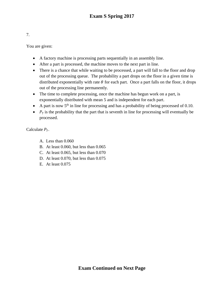| . . |        |
|-----|--------|
|     | $\sim$ |

You are given:

- A factory machine is processing parts sequentially in an assembly line.
- After a part is processed, the machine moves to the next part in line.
- There is a chance that while waiting to be processed, a part will fall to the floor and drop out of the processing queue. The probability a part drops on the floor in a given time is distributed exponentially with rate  $\theta$  for each part. Once a part falls on the floor, it drops out of the processing line permanently.
- The time to complete processing, once the machine has begun work on a part, is exponentially distributed with mean 5 and is independent for each part.
- A part is now  $5<sup>th</sup>$  in line for processing and has a probability of being processed of 0.10.
- $P_7$  is the probability that the part that is seventh in line for processing will eventually be processed.

Calculate  $P_7$ .

- A. Less than 0.060
- B. At least 0.060, but less than 0.065
- C. At least 0.065, but less than 0.070
- D. At least 0.070, but less than 0.075
- E. At least 0.075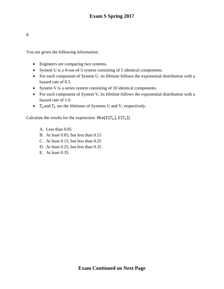You are given the following information:

- Engineers are comparing two systems.
- System U is a 4-out-of-5 system consisting of 5 identical components.
- For each component of System U, its lifetime follows the exponential distribution with a hazard rate of 0.5.
- System V is a series system consisting of 10 identical components.
- For each component of System V, its lifetime follows the exponential distribution with a hazard rate of 1.0.
- $T_U$  and  $T_V$  are the lifetimes of Systems U and V, respectively.

Calculate the results for the expression:  $Min[E[T_U], E[T_V]]$ .

- A. Less than 0.05
- B. At least 0.05, but less than 0.15
- C. At least 0.15, but less than 0.25
- D. At least 0.25, but less than 0.35
- E. At least 0.35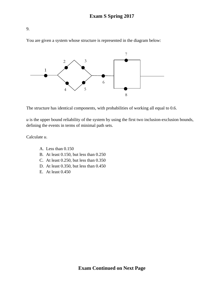You are given a system whose structure is represented in the diagram below:



The structure has identical components, with probabilities of working all equal to 0.6.

*u* is the upper bound reliability of the system by using the first two inclusion-exclusion bounds, defining the events in terms of minimal path sets.

Calculate *u*.

- A. Less than 0.150
- B. At least 0.150, but less than 0.250
- C. At least 0.250, but less than 0.350
- D. At least 0.350, but less than 0.450
- E. At least 0.450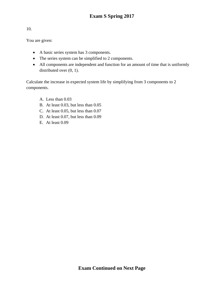You are given:

- A basic series system has 3 components.
- The series system can be simplified to 2 components.
- All components are independent and function for an amount of time that is uniformly distributed over  $(0, 1)$ .

Calculate the increase in expected system life by simplifying from 3 components to 2 components.

- A. Less than 0.03
- B. At least 0.03, but less than 0.05
- C. At least 0.05, but less than 0.07
- D. At least 0.07, but less than 0.09
- E. At least 0.09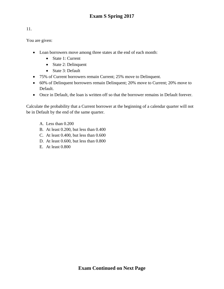You are given:

- Loan borrowers move among three states at the end of each month:
	- State 1: Current
	- State 2: Delinquent
	- State 3: Default
- 75% of Current borrowers remain Current; 25% move to Delinquent.
- 60% of Delinquent borrowers remain Delinquent; 20% move to Current; 20% move to Default.
- Once in Default, the loan is written off so that the borrower remains in Default forever.

Calculate the probability that a Current borrower at the beginning of a calendar quarter will not be in Default by the end of the same quarter.

- A. Less than 0.200
- B. At least 0.200, but less than 0.400
- C. At least 0.400, but less than 0.600
- D. At least 0.600, but less than 0.800
- E. At least 0.800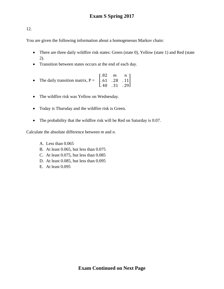You are given the following information about a homogeneous Markov chain:

- There are three daily wildfire risk states: Green (state 0), Yellow (state 1) and Red (state 2).
- Transition between states occurs at the end of each day.
- The daily transition matrix,  $P = \begin{bmatrix} 1 & 0 \\ 0 & 1 \end{bmatrix}$ .82 m n . 61 . 28 . 11 . 40 . 31 . 29  $\frac{1}{2}$
- The wildfire risk was Yellow on Wednesday.
- Today is Thursday and the wildfire risk is Green.
- The probability that the wildfire risk will be Red on Saturday is 0.07.

Calculate the absolute difference between *m* and *n*.

- A. Less than 0.065
- B. At least 0.065, but less than 0.075
- C. At least 0.075, but less than 0.085
- D. At least 0.085, but less than 0.095
- E. At least 0.095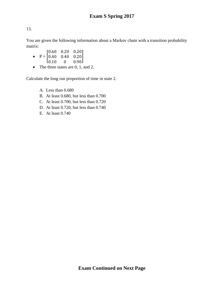You are given the following information about a Markov chain with a transition probability matrix:

- $P = \begin{bmatrix} 0.40 & 0.40 & 0.20 \end{bmatrix}$  $\begin{bmatrix} 0.60 & 0.20 & 0.20 \\ 0.40 & 0.40 & 0.20 \end{bmatrix}$  $[0.10 \t 0 \t 0.90]$  $0.20$
- The three states are 0, 1, and 2.

Calculate the long run proportion of time in state 2.

- A. Less than 0.680
- B. At least 0.680, but less than 0.700
- C. At least 0.700, but less than 0.720
- D. At least 0.720, but less than 0.740
- E. At least 0.740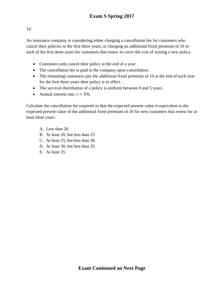An insurance company is considering either charging a cancellation fee for customers who cancel their policies in the first three years, or charging an additional fixed premium of 10 in each of the first three years for customers that renew to cover the cost of writing a new policy.

- Customers only cancel their policy at the end of a year.
- The cancellation fee is paid to the company upon cancellation.
- The remaining customers pay the additional fixed premium of 10 at the end of each year for the first three years their policy is in effect.
- The survival distribution of a policy is uniform between 0 and 5 years.
- Annual interest rate:  $i = 5\%$ .

Calculate the cancellation fee required so that the expected present value is equivalent to the expected present value of the additional fixed premium of 10 for new customers that renew for at least three years.

- A. Less than 20
- B. At least 20, but less than 25
- C. At least 25, but less than 30
- D. At least 30, but less than 35
- E. At least 35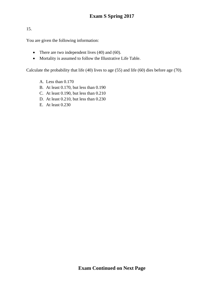You are given the following information:

- There are two independent lives (40) and (60).
- Mortality is assumed to follow the Illustrative Life Table.

Calculate the probability that life (40) lives to age (55) and life (60) dies before age (70).

- A. Less than 0.170
- B. At least 0.170, but less than 0.190
- C. At least 0.190, but less than 0.210
- D. At least 0.210, but less than 0.230
- E. At least 0.230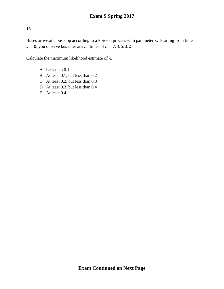Buses arrive at a bus stop according to a Poisson process with parameter  $\lambda$ . Starting from time  $t = 0$ , you observe bus inter arrival times of  $t = 7, 3, 5, 3, 2$ .

Calculate the maximum likelihood estimate of  $\lambda$ .

- A. Less than 0.1
- B. At least 0.1, but less than 0.2
- C. At least 0.2, but less than 0.3
- D. At least 0.3, but less than 0.4
- E. At least 0.4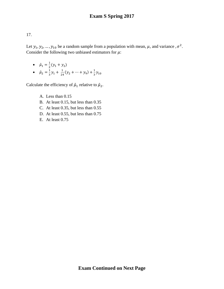Let  $y_1, y_2, ..., y_{10}$  be a random sample from a population with mean,  $\mu$ , and variance,  $\sigma^2$ . Consider the following two unbiased estimators for  $\mu$ :

•  $\hat{\mu}_1 = \frac{1}{2}(y_1 + y_2)$ •  $\hat{\mu}_2 = \frac{1}{3}y_1 + \frac{1}{24}(y_2 + \dots + y_9) + \frac{1}{3}y_{10}$ 

Calculate the efficiency of  $\hat{\mu}_1$  relative to  $\hat{\mu}_2$ .

- A. Less than 0.15
- B. At least 0.15, but less than 0.35
- C. At least 0.35, but less than 0.55
- D. At least 0.55, but less than 0.75
- E. At least 0.75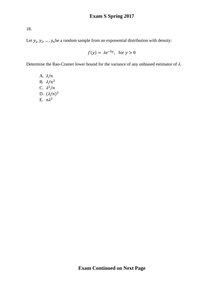Let  $y_1, y_2, ..., y_n$  be a random sample from an exponential distribution with density:

$$
f(y) = \lambda e^{-\lambda y}, \text{ for } y > 0
$$

Determine the Rao-Cramer lower bound for the variance of any unbiased estimator of  $\lambda$ .

A.  $\lambda/n$ B.  $\lambda/n^2$ C.  $\lambda^2/n$ D.  $(\lambda/n)^2$ E.  $n\lambda^2$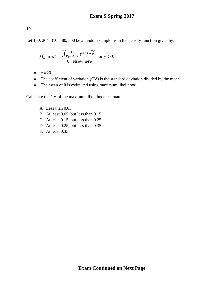Let 150, 204, 310, 480, 500 be a random sample from the density function given by:

$$
f(y|\alpha, \theta) = \begin{cases} \left(\frac{1}{\Gamma(\alpha)\theta^{\alpha}}\right) y^{\alpha-1} e^{\frac{-y}{\theta}}, & \text{for } y > 0\\ 0, & \text{elsewhere} \end{cases}
$$

- $\bullet \quad \alpha = 20$
- The coefficient of variation (CV) is the standard deviation divided by the mean
- The mean of  $\theta$  is estimated using maximum likelihood

Calculate the CV of the maximum likelihood estimate.

- A. Less than 0.05
- B. At least 0.05, but less than 0.15
- C. At least 0.15, but less than 0.25
- D. At least 0.25, but less than 0.35
- E. At least 0.35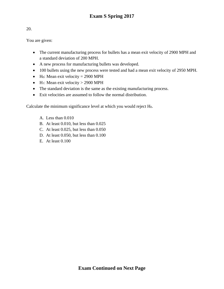You are given:

- The current manufacturing process for bullets has a mean exit velocity of 2900 MPH and a standard deviation of 200 MPH.
- A new process for manufacturing bullets was developed.
- 100 bullets using the new process were tested and had a mean exit velocity of 2950 MPH.
- H<sub>0</sub>: Mean exit velocity = 2900 MPH
- H<sub>1</sub>: Mean exit velocity  $> 2900$  MPH
- The standard deviation is the same as the existing manufacturing process.
- Exit velocities are assumed to follow the normal distribution.

Calculate the minimum significance level at which you would reject H0.

- A. Less than 0.010
- B. At least 0.010, but less than 0.025
- C. At least 0.025, but less than 0.050
- D. At least 0.050, but less than 0.100
- E. At least 0.100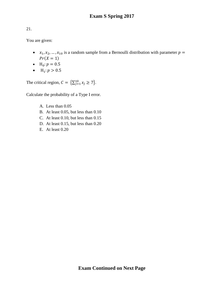You are given:

- $x_1, x_2, ..., x_{10}$  is a random sample from a Bernoulli distribution with parameter  $p =$  $Pr(X = 1)$
- $H_0: p = 0.5$
- $H_1: p > 0.5$

The critical region,  $C = {\sum_{j=1}^{10} x_j \ge 7}.$ 

Calculate the probability of a Type I error.

- A. Less than 0.05
- B. At least 0.05, but less than 0.10
- C. At least 0.10, but less than 0.15
- D. At least 0.15, but less than 0.20
- E. At least 0.20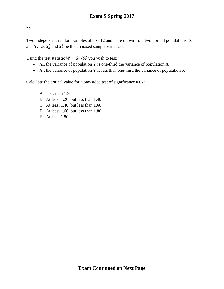Two independent random samples of size 12 and 8 are drawn from two normal populations, X and Y. Let  $S_X^2$  and  $S_Y^2$  be the unbiased sample variances.

Using the test statistic  $W = S_X^2 / S_Y^2$  you wish to test:

- $H_0$ : the variance of population Y is one-third the variance of population X
- $H_1$ : the variance of population Y is less than one-third the variance of population X

Calculate the critical value for a one-sided test of significance 0.02:

- A. Less than 1.20
- B. At least 1.20, but less than 1.40
- C. At least 1.40, but less than 1.60
- D. At least 1.60, but less than 1.80
- E. At least 1.80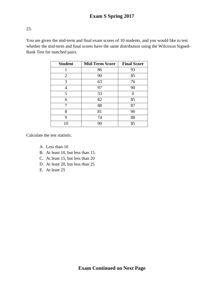You are given the mid-term and final exam scores of 10 students, and you would like to test whether the mid-term and final scores have the same distribution using the Wilcoxon Signed-Rank Test for matched pairs.

| <b>Student</b> | <b>Mid-Term Score</b> | <b>Final Score</b> |
|----------------|-----------------------|--------------------|
|                | 86                    | 93                 |
| $\overline{2}$ | 90                    | 85                 |
| 3              | 63                    | 76                 |
|                | 97                    | 90                 |
| 5              | 33                    |                    |
| 6              | 82                    | 85                 |
|                | 88                    | 87                 |
| 8              | 81                    | 90                 |
| 9              | 74                    | 88                 |
| 10             | 90                    | 85                 |

Calculate the test statistic.

- A. Less than 10
- B. At least 10, but less than 15
- C. At least 15, but less than 20
- D. At least 20, but less than 25
- E. At least 25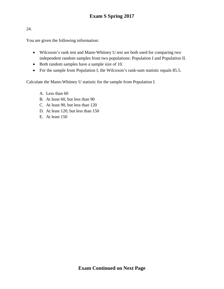You are given the following information:

- Wilcoxon's rank test and Mann-Whitney U test are both used for comparing two independent random samples from two populations: Population I and Population II.
- Both random samples have a sample size of 10.
- For the sample from Population I, the Wilcoxon's rank-sum statistic equals 85.5.

Calculate the Mann-Whitney U statistic for the sample from Population I.

- A. Less than 60
- B. At least 60, but less than 90
- C. At least 90, but less than 120
- D. At least 120, but less than 150
- E. At least 150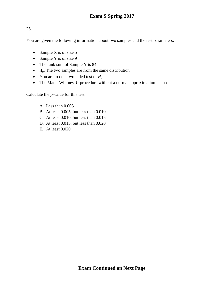You are given the following information about two samples and the test parameters:

- Sample X is of size 5
- Sample Y is of size 9
- The rank sum of Sample Y is 84
- $H_0$ : The two samples are from the same distribution
- You are to do a two-sided test of  $H_0$
- The Mann-Whitney-U procedure without a normal approximation is used

Calculate the *p*-value for this test.

- A. Less than 0.005
- B. At least 0.005, but less than 0.010
- C. At least 0.010, but less than 0.015
- D. At least 0.015, but less than 0.020
- E. At least 0.020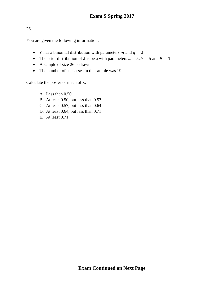You are given the following information:

- *Y* has a binomial distribution with parameters *m* and  $q = \lambda$ .
- The prior distribution of  $\lambda$  is beta with parameters  $a = 5$ ,  $b = 5$  and  $\theta = 1$ .
- A sample of size 26 is drawn.
- The number of successes in the sample was 19.

Calculate the posterior mean of  $\lambda$ .

- A. Less than 0.50
- B. At least 0.50, but less than 0.57
- C. At least 0.57, but less than 0.64
- D. At least 0.64, but less than 0.71
- E. At least 0.71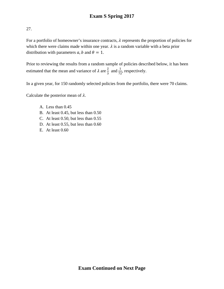For a portfolio of homeowner's insurance contracts,  $\lambda$  represents the proportion of policies for which there were claims made within one year.  $\lambda$  is a random variable with a beta prior distribution with parameters  $a$ ,  $b$  and  $\theta = 1$ .

Prior to reviewing the results from a random sample of policies described below, it has been estimated that the mean and variance of  $\lambda$  are  $\frac{2}{3}$  $\frac{2}{3}$  and  $\frac{1}{72}$ , respectively.

In a given year, for 150 randomly selected policies from the portfolio, there were 70 claims.

Calculate the posterior mean of  $\lambda$ .

- A. Less than 0.45
- B. At least 0.45, but less than 0.50
- C. At least 0.50, but less than 0.55
- D. At least 0.55, but less than 0.60
- E. At least 0.60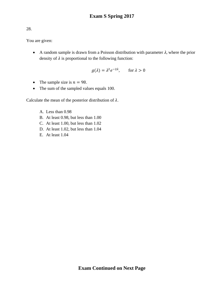# You are given:

• A random sample is drawn from a Poisson distribution with parameter  $\lambda$ , where the prior density of  $\lambda$  is proportional to the following function:

$$
g(\lambda) = \lambda^2 e^{-2\lambda}, \quad \text{for } \lambda > 0
$$

- The sample size is  $n = 98$ .
- The sum of the sampled values equals 100.

Calculate the mean of the posterior distribution of  $\lambda$ .

- A. Less than 0.98
- B. At least 0.98, but less than 1.00
- C. At least 1.00, but less than 1.02
- D. At least 1.02, but less than 1.04
- E. At least 1.04

28.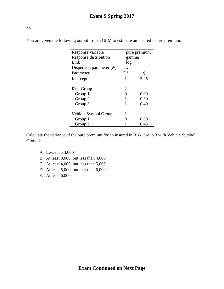| Response variable             | pure premium                |      |
|-------------------------------|-----------------------------|------|
| Response distribution         | gamma                       |      |
| Link                          | log                         |      |
| Dispersion parameter $(\phi)$ |                             |      |
| Parameter                     | Df                          |      |
| Intercept                     | 1                           | 3.25 |
|                               |                             |      |
| <b>Risk Group</b>             | $\mathcal{D}_{\mathcal{L}}$ |      |
| Group 1                       |                             | 0.00 |
| Group 2                       |                             | 0.30 |
| Group 3                       |                             | 0.40 |
| Vehicle Symbol Group          |                             |      |
| Group 1                       |                             | 0.00 |
| Group 2                       |                             | 0.45 |

You are given the following output from a GLM to estimate an insured's pure premium:

Calculate the variance of the pure premium for an insured in Risk Group 3 with Vehicle Symbol Group 2.

- A. Less than 3,000
- B. At least 3,000, but less than 4,000
- C. At least 4,000, but less than 5,000
- D. At least 5,000, but less than 6,000
- E. At least 6,000

29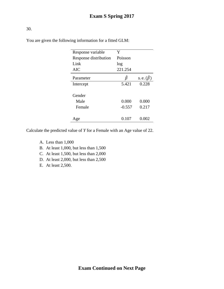| Response variable        | Y                 |                      |
|--------------------------|-------------------|----------------------|
| Response distribution    | Poisson           |                      |
| Link                     | log               |                      |
| <b>AIC</b>               | 221.254           |                      |
| Parameter                |                   | s.e. $(\hat{\beta})$ |
| Intercept                | 5.421             | 0.228                |
| Gender<br>Male<br>Female | 0.000<br>$-0.557$ | 0.000<br>0.217       |
|                          |                   |                      |
| ge                       | 0.107             | (1.002)              |

You are given the following information for a fitted GLM:

Calculate the predicted value of *Y* for a Female with an Age value of 22.

- A. Less than 1,000
- B. At least 1,000, but less than 1,500
- C. At least 1,500, but less than 2,000
- D. At least 2,000, but less than 2,500
- E. At least 2,500.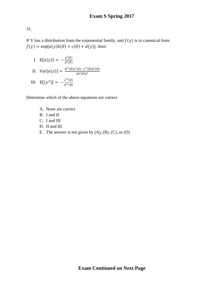If Y has a distribution from the exponential family, and  $f(y)$  is in canonical form  $f(y) = \exp[a(y)b(\theta) + c(\theta) + d(y)]$ , then:

I.  $E[a(y)] = -\frac{c'(\theta)}{b'(\theta)}$ II.  $Var[a(y)] = \frac{b''(\theta)c'(\theta) - c''(\theta)b'(\theta)}{[b'(\theta)]^3}$ III.  $E[(y^2)] = -\frac{c''(\theta)}{b''(\theta)}$ 

Determine which of the above equations are correct.

- A. None are correct
- B. I and II
- C. I and III
- D. II and III
- E. The answer is not given by  $(A)$ ,  $(B)$ ,  $(C)$ , or  $(D)$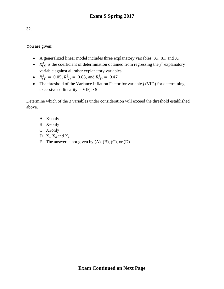You are given:

- A generalized linear model includes three explanatory variables:  $X_1$ ,  $X_2$ , and  $X_3$
- $R_{(j)}^2$  is the coefficient of determination obtained from regressing the j<sup>th</sup> explanatory variable against all other explanatory variables.
- $R_{(1)}^2 = 0.05$ ,  $R_{(2)}^2 = 0.83$ , and  $R_{(3)}^2 = 0.47$
- The threshold of the Variance Inflation Factor for variable *j* (VIF<sub>j</sub>) for determining excessive collinearity is  $VIF<sub>j</sub> > 5$

Determine which of the 3 variables under consideration will exceed the threshold established above.

- A. X1 only
- B. X<sub>2</sub> only
- C. X3 only
- D.  $X_1$ ,  $X_2$  and  $X_3$
- E. The answer is not given by  $(A)$ ,  $(B)$ ,  $(C)$ , or  $(D)$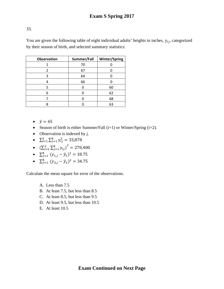You are given the following table of eight individual adults' heights in inches,  $y_{ij}$ , categorized by their season of birth, and selected summary statistics:

| <b>Observation</b> | Summer/Fall | <b>Winter/Spring</b> |
|--------------------|-------------|----------------------|
|                    | 70          |                      |
| 2                  | 67          |                      |
| 3                  | 64          |                      |
|                    | 66          |                      |
|                    |             | 60                   |
| 6                  |             | 62                   |
|                    |             | 68                   |
|                    |             | 63                   |

- $\bar{y} = 65$
- Season of birth is either Summer/Fall (i=1) or Winter/Spring (i=2).
- Observation is indexed by j.
- $\sum_{i=1}^{2} \sum_{j=1}^{8} y_{ij}^2 = 33,878$
- $(\sum_{i=1}^{2} \sum_{j=1}^{8} y_{ij})^2 = 270,400$
- $\sum_{j=1}^{8} (y_{1,j} \bar{y}_1)^2 = 18.75$
- $\sum_{j=1}^{8} (y_{2,j} \bar{y}_2)^2 = 34.75$

Calculate the mean square for error of the observations.

- A. Less than 7.5
- B. At least 7.5, but less than 8.5
- C. At least 8.5, but less than 9.5
- D. At least 9.5, but less than 10.5
- E. At least 10.5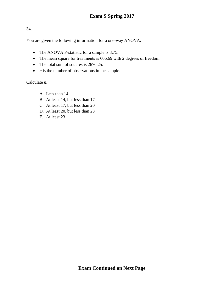You are given the following information for a one-way ANOVA:

- The ANOVA F-statistic for a sample is 3.75.
- The mean square for treatments is 606.69 with 2 degrees of freedom.
- The total sum of squares is 2670.25.
- *n* is the number of observations in the sample.

Calculate *n*.

- A. Less than 14
- B. At least 14, but less than 17
- C. At least 17, but less than 20
- D. At least 20, but less than 23
- E. At least 23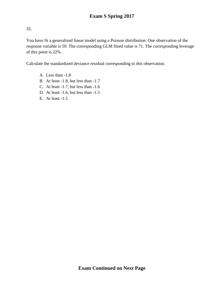You have fit a generalized linear model using a Poisson distribution. One observation of the response variable is 59. The corresponding GLM fitted value is 71. The corresponding leverage of this point is 22%.

Calculate the standardized deviance residual corresponding to this observation.

- A. Less than -1.8
- B. At least -1.8, but less than -1.7
- C. At least -1.7, but less than -1.6
- D. At least -1.6, but less than -1.5
- E. At least -1.5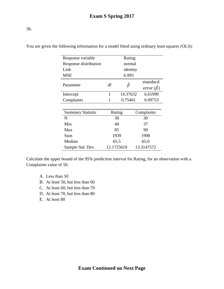| I<br>۰.<br>۰.<br>× | ۰.<br>×<br>v.<br>v | $\sim$ |
|--------------------|--------------------|--------|

| Response variable        |            | Rating   |  |                       |
|--------------------------|------------|----------|--|-----------------------|
| Response distribution    | normal     |          |  |                       |
| Link                     |            | identity |  |                       |
| <b>MSE</b>               |            | 6.993    |  |                       |
|                          |            |          |  | standard              |
| Parameter                | df         | ₿        |  | error $(\hat{\beta})$ |
| Intercept                | 1          | 14.37632 |  | 6.61999               |
| Complaints               |            | 0.75461  |  | 0.09753               |
|                          |            |          |  |                       |
| <b>Summary Statistic</b> |            | Rating   |  | Complaints            |
| N                        |            | 30       |  | 30                    |
| Min                      |            | 40       |  | 37                    |
| Max                      | 85         |          |  | 90                    |
| Sum                      | 1939       |          |  | 1998                  |
| Median                   | 65.5       |          |  | 65.0                  |
| Sample Std. Dev.         | 12.1725619 |          |  | 13.3147572            |

You are given the following information for a model fitted using ordinary least squares (OLS):

Calculate the upper bound of the 95% prediction interval for Rating, for an observation with a Complaints value of 50.

- A. Less than 50
- B. At least 50, but less than 60
- C. At least 60, but less than 70
- D. At least 70, but less than 80
- E. At least 80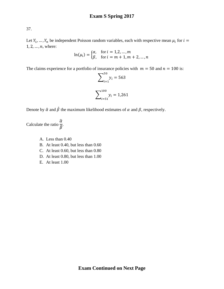Let  $Y_1, ..., Y_n$  be independent Poisson random variables, each with respective mean  $\mu_i$  for  $i =$  $1, 2, ..., n$ , where:

$$
\ln(\mu_i) = \begin{cases} \alpha, & \text{for } i = 1, 2, ..., m \\ \beta, & \text{for } i = m + 1, m + 2, ..., n \end{cases}
$$

The claims experience for a portfolio of insurance policies with  $m = 50$  and  $n = 100$  is:

$$
\sum_{i=1}^{50} y_i = 563
$$

$$
\sum_{i=51}^{100} y_i = 1,261
$$

Denote by  $\hat{\alpha}$  and  $\hat{\beta}$  the maximum likelihood estimates of  $\alpha$  and  $\beta$ , respectively.

Calculate the ratio  $\frac{\hat{\alpha}}{\hat{\beta}}$ .

- A. Less than 0.40
- B. At least 0.40, but less than 0.60
- C. At least 0.60, but less than 0.80
- D. At least 0.80, but less than 1.00
- E. At least 1.00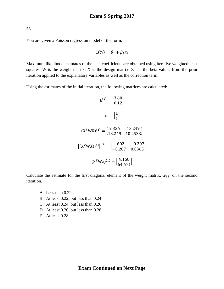You are given a Poisson regression model of the form:

$$
E(Y_i) = \beta_1 + \beta_2 x_i
$$

Maximum likelihood estimates of the beta coefficients are obtained using iterative weighted least squares. W is the weight matrix. X is the design matrix. Z has the beta values from the prior iteration applied to the explanatory variables as well as the correction term.

Using the estimates of the initial iteration, the following matrices are calculated:

$$
b^{(1)} = \begin{bmatrix} 3.60 \\ 0.12 \end{bmatrix}
$$

$$
x_1 = \begin{bmatrix} 1 \\ 1 \end{bmatrix}
$$

$$
(X^TWX)^{(1)} = \begin{bmatrix} 2.336 & 13.249 \\ 13.249 & 102.538 \end{bmatrix}
$$

$$
[(X^TWX)^{(1)}]^{-1} = \begin{bmatrix} 1.602 & -0.207 \\ -0.207 & 0.0365 \end{bmatrix}
$$

$$
(X^TWz)^{(1)} = \begin{bmatrix} 9.158 \\ 54.671 \end{bmatrix}
$$

Calculate the estimate for the first diagonal element of the weight matrix,  $w_{11}$ , on the second iteration.

- A. Less than 0.22
- B. At least 0.22, but less than 0.24
- C. At least 0.24, but less than 0.26
- D. At least 0.26, but less than 0.28
- E. At least 0.28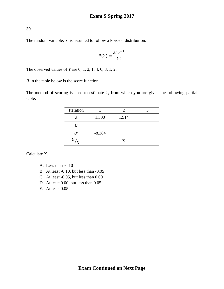The random variable, *Y*, is assumed to follow a Poisson distribution:

$$
P(Y) = \frac{\lambda^Y e^{-\lambda}}{Y!}
$$

The observed values of *Y* are 0, 1, 2, 1, 4, 0, 3, 1, 2.

 $U$  in the table below is the score function.

The method of scoring is used to estimate  $\lambda$ , from which you are given the following partial table:

| Iteration |          |       |  |
|-----------|----------|-------|--|
|           | 1.300    | 1.514 |  |
|           |          |       |  |
|           | $-8.284$ |       |  |
|           |          | X     |  |
|           |          |       |  |

Calculate X.

- A. Less than -0.10
- B. At least -0.10, but less than -0.05
- C. At least -0.05, but less than 0.00
- D. At least 0.00, but less than 0.05
- E. At least 0.05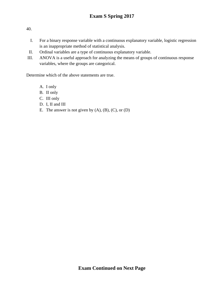- I. For a binary response variable with a continuous explanatory variable, logistic regression is an inappropriate method of statistical analysis.
- II. Ordinal variables are a type of continuous explanatory variable.
- III. ANOVA is a useful approach for analyzing the means of groups of continuous response variables, where the groups are categorical.

Determine which of the above statements are true.

- A. I only
- B. II only
- C. III only
- D. I, II and III
- E. The answer is not given by  $(A)$ ,  $(B)$ ,  $(C)$ , or  $(D)$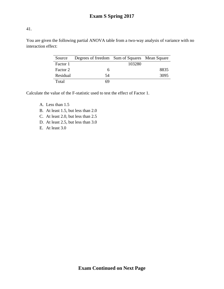You are given the following partial ANOVA table from a two-way analysis of variance with no interaction effect:

| Source   | Degrees of freedom Sum of Squares Mean Square |        |      |
|----------|-----------------------------------------------|--------|------|
| Factor 1 |                                               | 103280 |      |
| Factor 2 | h                                             |        | 8835 |
| Residual | 54                                            |        | 3095 |
| Total    | 69                                            |        |      |

Calculate the value of the F-statistic used to test the effect of Factor 1.

- A. Less than 1.5
- B. At least 1.5, but less than 2.0
- C. At least 2.0, but less than 2.5
- D. At least 2.5, but less than 3.0
- E. At least 3.0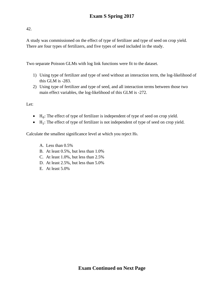A study was commissioned on the effect of type of fertilizer and type of seed on crop yield. There are four types of fertilizers, and five types of seed included in the study.

Two separate Poisson GLMs with log link functions were fit to the dataset.

- 1) Using type of fertilizer and type of seed without an interaction term, the log-likelihood of this GLM is -283.
- 2) Using type of fertilizer and type of seed, and all interaction terms between those two main effect variables, the log-likelihood of this GLM is -272.

Let:

- $\bullet$  H<sub>0</sub>: The effect of type of fertilizer is independent of type of seed on crop yield.
- $\bullet$  H<sub>1</sub>: The effect of type of fertilizer is not independent of type of seed on crop yield.

Calculate the smallest significance level at which you reject  $H_0$ .

- A. Less than 0.5%
- B. At least 0.5%, but less than 1.0%
- C. At least 1.0%, but less than 2.5%
- D. At least 2.5%, but less than 5.0%
- E. At least 5.0%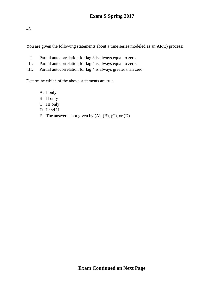You are given the following statements about a time series modeled as an AR(3) process:

- I. Partial autocorrelation for lag 3 is always equal to zero.
- II. Partial autocorrelation for lag 4 is always equal to zero.
- III. Partial autocorrelation for lag 4 is always greater than zero.

Determine which of the above statements are true.

- A. I only
- B. II only
- C. III only
- D. I and II
- E. The answer is not given by  $(A)$ ,  $(B)$ ,  $(C)$ , or  $(D)$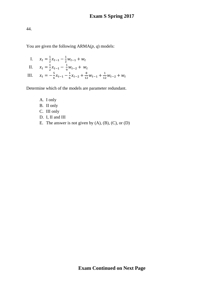You are given the following ARMA(*p*, *q*) models:

I.  $x_t = \frac{1}{2}x_{t-1} - \frac{1}{2}w_{t-1} + w_t$ II.  $x_t = \frac{1}{2}x_{t-1} - \frac{1}{9}w_{t-2} + w_t$ 2 9

III.  $x_t = -\frac{5}{6}x_{t-1} - \frac{1}{6}x_{t-2} + \frac{8}{12}w_{t-1} + \frac{1}{12}w_{t-2} + w_t$ Determine which of the models are parameter redundant.

- A. I only
- B. II only
- C. III only
- D. I, II and III
- E. The answer is not given by  $(A)$ ,  $(B)$ ,  $(C)$ , or  $(D)$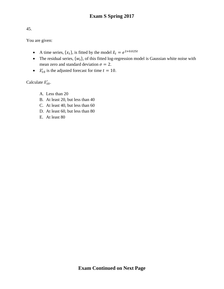You are given:

- A time series,  $\{x_t\}$ , is fitted by the model  $\hat{x}_t = e^{2+0.025t}$
- The residual series,  $\{w_t\}$ , of this fitted log-regression model is Gaussian white noise with mean zero and standard deviation  $\sigma = 2$ .
- $\hat{x}'_{10}$  is the adjusted forecast for time  $t = 10$ .

Calculate  $\hat{x}'_{10}$ .

- A. Less than 20
- B. At least 20, but less than 40
- C. At least 40, but less than 60
- D. At least 60, but less than 80
- E. At least 80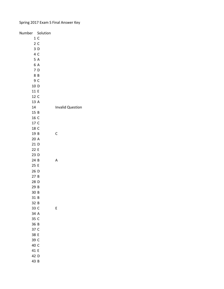# Spring 2017 Exam S Final Answer Key

| Number Solution |     |                         |
|-----------------|-----|-------------------------|
|                 | 1 C |                         |
|                 | 2C  |                         |
|                 | 3D  |                         |
|                 | 4 C |                         |
|                 | 5A  |                         |
|                 | 6 A |                         |
|                 | 7 D |                         |
|                 | 8 B |                         |
|                 | 9 C |                         |
| 10 D            |     |                         |
| 11 E            |     |                         |
| 12 C            |     |                         |
| 13 A            |     |                         |
| 14              |     | <b>Invalid Question</b> |
| 15 B            |     |                         |
| 16 C            |     |                         |
| 17 C            |     |                         |
| 18 C            |     |                         |
| 19 B            |     | C                       |
| 20 A            |     |                         |
| 21 D            |     |                         |
| 22 E            |     |                         |
| 23 D            |     |                         |
| 24 B            |     | Α                       |
| 25 E            |     |                         |
| 26 D            |     |                         |
| 27B             |     |                         |
| 28 D            |     |                         |
| 29 B            |     |                         |
| 30 B            |     |                         |
| 31 B            |     |                         |
| 32 B            |     |                         |
| 33 C            |     | E                       |
| 34 A            |     |                         |
| 35 C            |     |                         |
| 36 B            |     |                         |
| 37 C            |     |                         |
| 38 E            |     |                         |
| 39 C            |     |                         |
| 40 C            |     |                         |
| 41 E            |     |                         |
| 42 D            |     |                         |
| 43 B            |     |                         |